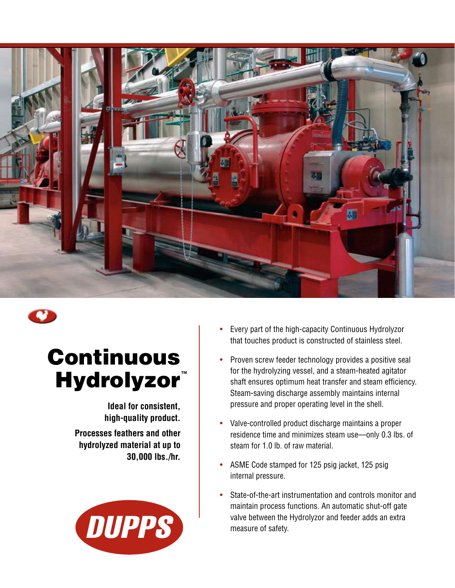

## Continuous **Hydrolyzor**™

**Ideal for consistent, high-quality product. Processes feathers and other hydrolyzed material at up to 30,000 lbs./hr.** 



- Every part of the high-capacity Continuous Hydrolyzor that touches product is constructed of stainless steel.
- Proven screw feeder technology provides a positive seal for the hydrolyzing vessel, and a steam-heated agitator shaft ensures optimum heat transfer and steam efficiency. Steam-saving discharge assembly maintains internal pressure and proper operating level in the shell.
- Valve-controlled product discharge maintains a proper residence time and minimizes steam use—only 0.3 lbs. of steam for 1.0 lb. of raw material.
- ASME Code stamped for 125 psig jacket, 125 psig internal pressure.
- State-of-the-art instrumentation and controls monitor and maintain process functions. An automatic shut-off gate valve between the Hydrolyzor and feeder adds an extra measure of safety.